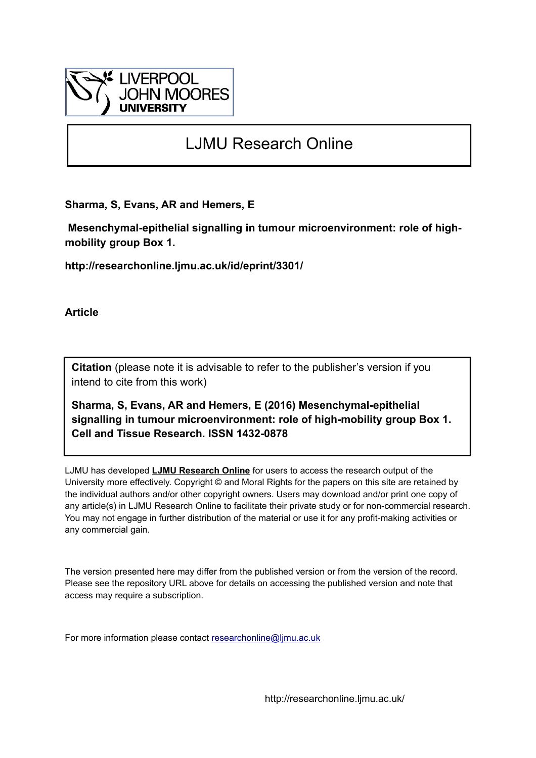

# LJMU Research Online

**Sharma, S, Evans, AR and Hemers, E**

 **Mesenchymal-epithelial signalling in tumour microenvironment: role of highmobility group Box 1.**

**http://researchonline.ljmu.ac.uk/id/eprint/3301/**

**Article**

**Citation** (please note it is advisable to refer to the publisher's version if you intend to cite from this work)

**Sharma, S, Evans, AR and Hemers, E (2016) Mesenchymal-epithelial signalling in tumour microenvironment: role of high-mobility group Box 1. Cell and Tissue Research. ISSN 1432-0878** 

LJMU has developed **[LJMU Research Online](http://researchonline.ljmu.ac.uk/)** for users to access the research output of the University more effectively. Copyright © and Moral Rights for the papers on this site are retained by the individual authors and/or other copyright owners. Users may download and/or print one copy of any article(s) in LJMU Research Online to facilitate their private study or for non-commercial research. You may not engage in further distribution of the material or use it for any profit-making activities or any commercial gain.

The version presented here may differ from the published version or from the version of the record. Please see the repository URL above for details on accessing the published version and note that access may require a subscription.

For more information please contact [researchonline@ljmu.ac.uk](mailto:researchonline@ljmu.ac.uk)

http://researchonline.ljmu.ac.uk/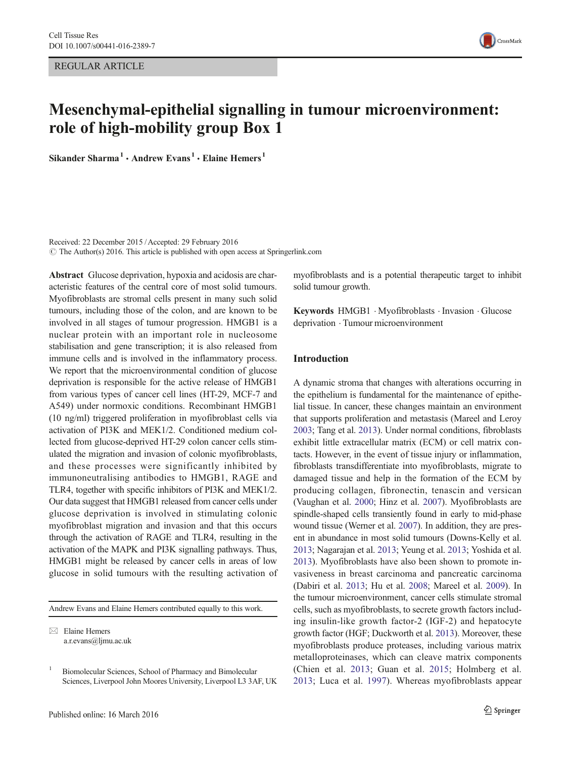REGULAR ARTICLE



# Mesenchymal-epithelial signalling in tumour microenvironment: role of high-mobility group Box 1

Sikander Sharma<sup>1</sup> · Andrew Evans<sup>1</sup> · Elaine Hemers<sup>1</sup>

Received: 22 December 2015 /Accepted: 29 February 2016  $\odot$  The Author(s) 2016. This article is published with open access at Springerlink.com

Abstract Glucose deprivation, hypoxia and acidosis are characteristic features of the central core of most solid tumours. Myofibroblasts are stromal cells present in many such solid tumours, including those of the colon, and are known to be involved in all stages of tumour progression. HMGB1 is a nuclear protein with an important role in nucleosome stabilisation and gene transcription; it is also released from immune cells and is involved in the inflammatory process. We report that the microenvironmental condition of glucose deprivation is responsible for the active release of HMGB1 from various types of cancer cell lines (HT-29, MCF-7 and A549) under normoxic conditions. Recombinant HMGB1 (10 ng/ml) triggered proliferation in myofibroblast cells via activation of PI3K and MEK1/2. Conditioned medium collected from glucose-deprived HT-29 colon cancer cells stimulated the migration and invasion of colonic myofibroblasts, and these processes were significantly inhibited by immunoneutralising antibodies to HMGB1, RAGE and TLR4, together with specific inhibitors of PI3K and MEK1/2. Our data suggest that HMGB1 released from cancer cells under glucose deprivation is involved in stimulating colonic myofibroblast migration and invasion and that this occurs through the activation of RAGE and TLR4, resulting in the activation of the MAPK and PI3K signalling pathways. Thus, HMGB1 might be released by cancer cells in areas of low glucose in solid tumours with the resulting activation of

Andrew Evans and Elaine Hemers contributed equally to this work.

myofibroblasts and is a potential therapeutic target to inhibit solid tumour growth.

Keywords HMGB1 . Myofibroblasts . Invasion . Glucose deprivation . Tumour microenvironment

### Introduction

A dynamic stroma that changes with alterations occurring in the epithelium is fundamental for the maintenance of epithelial tissue. In cancer, these changes maintain an environment that supports proliferation and metastasis (Mareel and Leroy [2003;](#page-9-0) Tang et al. [2013\)](#page-9-0). Under normal conditions, fibroblasts exhibit little extracellular matrix (ECM) or cell matrix contacts. However, in the event of tissue injury or inflammation, fibroblasts transdifferentiate into myofibroblasts, migrate to damaged tissue and help in the formation of the ECM by producing collagen, fibronectin, tenascin and versican (Vaughan et al. [2000;](#page-9-0) Hinz et al. [2007\)](#page-9-0). Myofibroblasts are spindle-shaped cells transiently found in early to mid-phase wound tissue (Werner et al. [2007](#page-9-0)). In addition, they are present in abundance in most solid tumours (Downs-Kelly et al. [2013;](#page-8-0) Nagarajan et al. [2013](#page-9-0); Yeung et al. [2013;](#page-10-0) Yoshida et al. [2013\)](#page-10-0). Myofibroblasts have also been shown to promote invasiveness in breast carcinoma and pancreatic carcinoma (Dabiri et al. [2013;](#page-8-0) Hu et al. [2008](#page-9-0); Mareel et al. [2009\)](#page-9-0). In the tumour microenvironment, cancer cells stimulate stromal cells, such as myofibroblasts, to secrete growth factors including insulin-like growth factor-2 (IGF-2) and hepatocyte growth factor (HGF; Duckworth et al. [2013](#page-8-0)). Moreover, these myofibroblasts produce proteases, including various matrix metalloproteinases, which can cleave matrix components (Chien et al. [2013](#page-8-0); Guan et al. [2015;](#page-9-0) Holmberg et al. [2013](#page-9-0); Luca et al. [1997](#page-9-0)). Whereas myofibroblasts appear

 $\boxtimes$  Elaine Hemers a.r.evans@ljmu.ac.uk

<sup>&</sup>lt;sup>1</sup> Biomolecular Sciences, School of Pharmacy and Bimolecular Sciences, Liverpool John Moores University, Liverpool L3 3AF, UK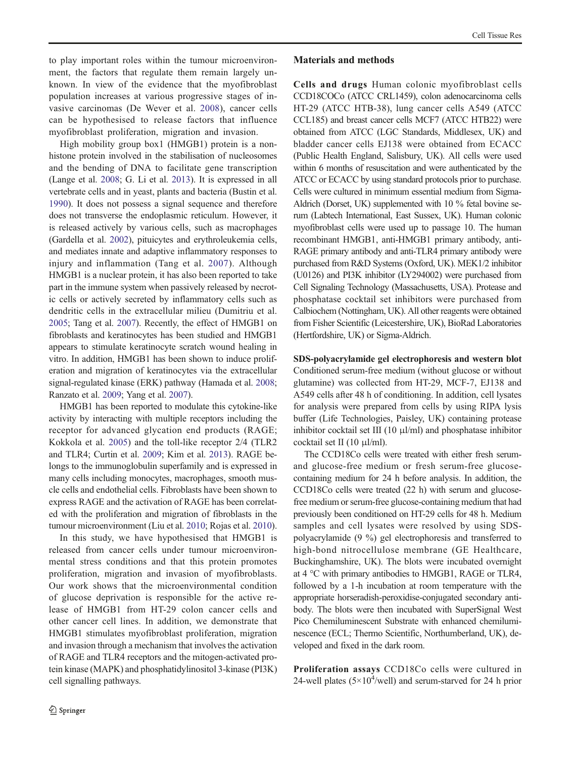to play important roles within the tumour microenvironment, the factors that regulate them remain largely unknown. In view of the evidence that the myofibroblast population increases at various progressive stages of invasive carcinomas (De Wever et al. [2008](#page-8-0)), cancer cells can be hypothesised to release factors that influence myofibroblast proliferation, migration and invasion.

High mobility group box1 (HMGB1) protein is a nonhistone protein involved in the stabilisation of nucleosomes and the bending of DNA to facilitate gene transcription (Lange et al. [2008;](#page-9-0) G. Li et al. [2013\)](#page-9-0). It is expressed in all vertebrate cells and in yeast, plants and bacteria (Bustin et al. [1990\)](#page-8-0). It does not possess a signal sequence and therefore does not transverse the endoplasmic reticulum. However, it is released actively by various cells, such as macrophages (Gardella et al. [2002](#page-9-0)), pituicytes and erythroleukemia cells, and mediates innate and adaptive inflammatory responses to injury and inflammation (Tang et al. [2007\)](#page-9-0). Although HMGB1 is a nuclear protein, it has also been reported to take part in the immune system when passively released by necrotic cells or actively secreted by inflammatory cells such as dendritic cells in the extracellular milieu (Dumitriu et al. [2005;](#page-8-0) Tang et al. [2007\)](#page-9-0). Recently, the effect of HMGB1 on fibroblasts and keratinocytes has been studied and HMGB1 appears to stimulate keratinocyte scratch wound healing in vitro. In addition, HMGB1 has been shown to induce proliferation and migration of keratinocytes via the extracellular signal-regulated kinase (ERK) pathway (Hamada et al. [2008](#page-9-0); Ranzato et al. [2009;](#page-9-0) Yang et al. [2007\)](#page-9-0).

HMGB1 has been reported to modulate this cytokine-like activity by interacting with multiple receptors including the receptor for advanced glycation end products (RAGE; Kokkola et al. [2005](#page-9-0)) and the toll-like receptor 2/4 (TLR2 and TLR4; Curtin et al. [2009](#page-8-0); Kim et al. [2013\)](#page-9-0). RAGE belongs to the immunoglobulin superfamily and is expressed in many cells including monocytes, macrophages, smooth muscle cells and endothelial cells. Fibroblasts have been shown to express RAGE and the activation of RAGE has been correlated with the proliferation and migration of fibroblasts in the tumour microenvironment (Liu et al. [2010](#page-9-0); Rojas et al. [2010\)](#page-9-0).

In this study, we have hypothesised that HMGB1 is released from cancer cells under tumour microenvironmental stress conditions and that this protein promotes proliferation, migration and invasion of myofibroblasts. Our work shows that the microenvironmental condition of glucose deprivation is responsible for the active release of HMGB1 from HT-29 colon cancer cells and other cancer cell lines. In addition, we demonstrate that HMGB1 stimulates myofibroblast proliferation, migration and invasion through a mechanism that involves the activation of RAGE and TLR4 receptors and the mitogen-activated protein kinase (MAPK) and phosphatidylinositol 3-kinase (PI3K) cell signalling pathways.

#### Materials and methods

Cells and drugs Human colonic myofibroblast cells CCD18COCo (ATCC CRL1459), colon adenocarcinoma cells HT-29 (ATCC HTB-38), lung cancer cells A549 (ATCC CCL185) and breast cancer cells MCF7 (ATCC HTB22) were obtained from ATCC (LGC Standards, Middlesex, UK) and bladder cancer cells EJ138 were obtained from ECACC (Public Health England, Salisbury, UK). All cells were used within 6 months of resuscitation and were authenticated by the ATCC or ECACC by using standard protocols prior to purchase. Cells were cultured in minimum essential medium from Sigma-Aldrich (Dorset, UK) supplemented with 10 % fetal bovine serum (Labtech International, East Sussex, UK). Human colonic myofibroblast cells were used up to passage 10. The human recombinant HMGB1, anti-HMGB1 primary antibody, anti-RAGE primary antibody and anti-TLR4 primary antibody were purchased from R&D Systems (Oxford, UK). MEK1/2 inhibitor (U0126) and PI3K inhibitor (LY294002) were purchased from Cell Signaling Technology (Massachusetts, USA). Protease and phosphatase cocktail set inhibitors were purchased from Calbiochem (Nottingham, UK). All other reagents were obtained from Fisher Scientific (Leicestershire, UK), BioRad Laboratories (Hertfordshire, UK) or Sigma-Aldrich.

SDS-polyacrylamide gel electrophoresis and western blot Conditioned serum-free medium (without glucose or without glutamine) was collected from HT-29, MCF-7, EJ138 and A549 cells after 48 h of conditioning. In addition, cell lysates for analysis were prepared from cells by using RIPA lysis buffer (Life Technologies, Paisley, UK) containing protease inhibitor cocktail set III (10  $\mu$ l/ml) and phosphatase inhibitor cocktail set II (10 μl/ml).

The CCD18Co cells were treated with either fresh serumand glucose-free medium or fresh serum-free glucosecontaining medium for 24 h before analysis. In addition, the CCD18Co cells were treated (22 h) with serum and glucosefree medium or serum-free glucose-containing medium that had previously been conditioned on HT-29 cells for 48 h. Medium samples and cell lysates were resolved by using SDSpolyacrylamide (9 %) gel electrophoresis and transferred to high-bond nitrocellulose membrane (GE Healthcare, Buckinghamshire, UK). The blots were incubated overnight at 4 °C with primary antibodies to HMGB1, RAGE or TLR4, followed by a 1-h incubation at room temperature with the appropriate horseradish-peroxidise-conjugated secondary antibody. The blots were then incubated with SuperSignal West Pico Chemiluminescent Substrate with enhanced chemiluminescence (ECL; Thermo Scientific, Northumberland, UK), developed and fixed in the dark room.

Proliferation assays CCD18Co cells were cultured in 24-well plates  $(5\times10^4/\text{well})$  and serum-starved for 24 h prior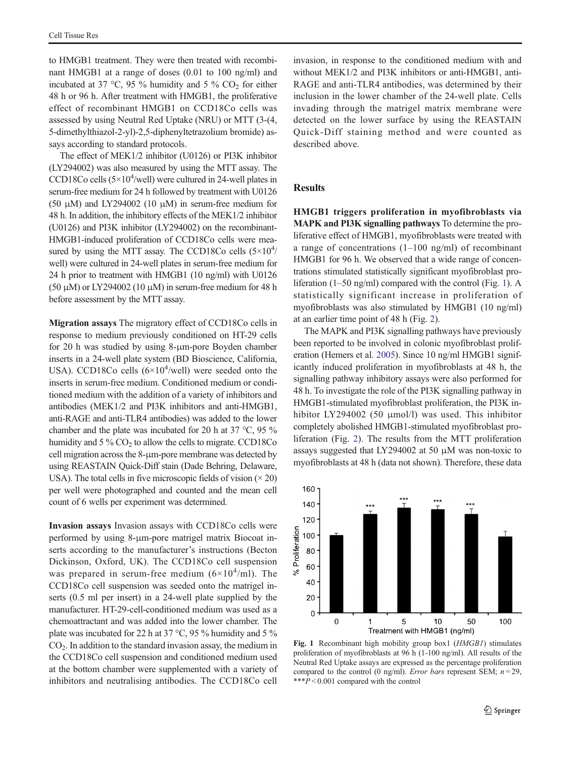to HMGB1 treatment. They were then treated with recombinant HMGB1 at a range of doses (0.01 to 100 ng/ml) and incubated at 37  $\degree$ C, 95 % humidity and 5 % CO<sub>2</sub> for either 48 h or 96 h. After treatment with HMGB1, the proliferative effect of recombinant HMGB1 on CCD18Co cells was assessed by using Neutral Red Uptake (NRU) or MTT (3-(4, 5-dimethylthiazol-2-yl)-2,5-diphenyltetrazolium bromide) assays according to standard protocols.

The effect of MEK1/2 inhibitor (U0126) or PI3K inhibitor (LY294002) was also measured by using the MTT assay. The CCD18Co cells  $(5\times10^4/\text{well})$  were cultured in 24-well plates in serum-free medium for 24 h followed by treatment with U0126 (50 μM) and LY294002 (10 μM) in serum-free medium for 48 h. In addition, the inhibitory effects of the MEK1/2 inhibitor (U0126) and PI3K inhibitor (LY294002) on the recombinant-HMGB1-induced proliferation of CCD18Co cells were measured by using the MTT assay. The CCD18Co cells  $(5\times10^4)$ well) were cultured in 24-well plates in serum-free medium for 24 h prior to treatment with HMGB1 (10 ng/ml) with U0126 (50 μM) or LY294002 (10 μM) in serum-free medium for 48 h before assessment by the MTT assay.

Migration assays The migratory effect of CCD18Co cells in response to medium previously conditioned on HT-29 cells for 20 h was studied by using 8-μm-pore Boyden chamber inserts in a 24-well plate system (BD Bioscience, California, USA). CCD18Co cells  $(6\times10^4/\text{well})$  were seeded onto the inserts in serum-free medium. Conditioned medium or conditioned medium with the addition of a variety of inhibitors and antibodies (MEK1/2 and PI3K inhibitors and anti-HMGB1, anti-RAGE and anti-TLR4 antibodies) was added to the lower chamber and the plate was incubated for 20 h at 37 °C, 95 % humidity and  $5\%$  CO<sub>2</sub> to allow the cells to migrate. CCD18Co cell migration across the 8-μm-pore membrane was detected by using REASTAIN Quick-Diff stain (Dade Behring, Delaware, USA). The total cells in five microscopic fields of vision  $(\times 20)$ per well were photographed and counted and the mean cell count of 6 wells per experiment was determined.

Invasion assays Invasion assays with CCD18Co cells were performed by using 8-μm-pore matrigel matrix Biocoat inserts according to the manufacturer's instructions (Becton Dickinson, Oxford, UK). The CCD18Co cell suspension was prepared in serum-free medium  $(6\times10^4/\text{m})$ . The CCD18Co cell suspension was seeded onto the matrigel inserts (0.5 ml per insert) in a 24-well plate supplied by the manufacturer. HT-29-cell-conditioned medium was used as a chemoattractant and was added into the lower chamber. The plate was incubated for 22 h at 37 °C, 95 % humidity and 5 %  $CO<sub>2</sub>$ . In addition to the standard invasion assay, the medium in the CCD18Co cell suspension and conditioned medium used at the bottom chamber were supplemented with a variety of inhibitors and neutralising antibodies. The CCD18Co cell invasion, in response to the conditioned medium with and without MEK1/2 and PI3K inhibitors or anti-HMGB1, anti-RAGE and anti-TLR4 antibodies, was determined by their inclusion in the lower chamber of the 24-well plate. Cells invading through the matrigel matrix membrane were detected on the lower surface by using the REASTAIN Quick-Diff staining method and were counted as described above.

# **Results**

HMGB1 triggers proliferation in myofibroblasts via MAPK and PI3K signalling pathways To determine the proliferative effect of HMGB1, myofibroblasts were treated with a range of concentrations  $(1-100 \text{ ng/ml})$  of recombinant HMGB1 for 96 h. We observed that a wide range of concentrations stimulated statistically significant myofibroblast proliferation (1–50 ng/ml) compared with the control (Fig. 1). A statistically significant increase in proliferation of myofibroblasts was also stimulated by HMGB1 (10 ng/ml) at an earlier time point of 48 h (Fig. [2\)](#page-4-0).

The MAPK and PI3K signalling pathways have previously been reported to be involved in colonic myofibroblast proliferation (Hemers et al. [2005](#page-9-0)). Since 10 ng/ml HMGB1 significantly induced proliferation in myofibroblasts at 48 h, the signalling pathway inhibitory assays were also performed for 48 h. To investigate the role of the PI3K signalling pathway in HMGB1-stimulated myofibroblast proliferation, the PI3K inhibitor LY294002 (50 μmol/l) was used. This inhibitor completely abolished HMGB1-stimulated myofibroblast proliferation (Fig. [2\)](#page-4-0). The results from the MTT proliferation assays suggested that LY294002 at 50 μM was non-toxic to myofibroblasts at 48 h (data not shown). Therefore, these data



Fig. 1 Recombinant high mobility group box1 (HMGB1) stimulates proliferation of myofibroblasts at 96 h (1-100 ng/ml). All results of the Neutral Red Uptake assays are expressed as the percentage proliferation compared to the control (0 ng/ml). *Error bars* represent SEM;  $n = 29$ , \*\*\* $P < 0.001$  compared with the control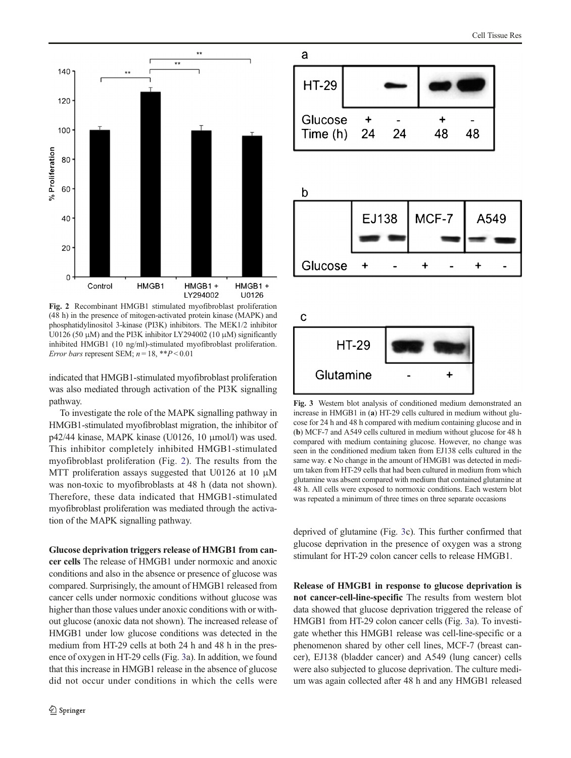<span id="page-4-0"></span>

Fig. 2 Recombinant HMGB1 stimulated myofibroblast proliferation (48 h) in the presence of mitogen-activated protein kinase (MAPK) and phosphatidylinositol 3-kinase (PI3K) inhibitors. The MEK1/2 inhibitor U0126 (50  $\mu$ M) and the PI3K inhibitor LY294002 (10  $\mu$ M) significantly inhibited HMGB1 (10 ng/ml)-stimulated myofibroblast proliferation. Error bars represent SEM;  $n = 18$ , \*\* $P < 0.01$ 

indicated that HMGB1-stimulated myofibroblast proliferation was also mediated through activation of the PI3K signalling pathway.

To investigate the role of the MAPK signalling pathway in HMGB1-stimulated myofibroblast migration, the inhibitor of p42/44 kinase, MAPK kinase (U0126, 10 μmol/l) was used. This inhibitor completely inhibited HMGB1-stimulated myofibroblast proliferation (Fig. 2). The results from the MTT proliferation assays suggested that U0126 at 10 μM was non-toxic to myofibroblasts at 48 h (data not shown). Therefore, these data indicated that HMGB1-stimulated myofibroblast proliferation was mediated through the activation of the MAPK signalling pathway.

Glucose deprivation triggers release of HMGB1 from can-

cer cells The release of HMGB1 under normoxic and anoxic conditions and also in the absence or presence of glucose was compared. Surprisingly, the amount of HMGB1 released from cancer cells under normoxic conditions without glucose was higher than those values under anoxic conditions with or without glucose (anoxic data not shown). The increased release of HMGB1 under low glucose conditions was detected in the medium from HT-29 cells at both 24 h and 48 h in the presence of oxygen in HT-29 cells (Fig. 3a). In addition, we found that this increase in HMGB1 release in the absence of glucose did not occur under conditions in which the cells were



Fig. 3 Western blot analysis of conditioned medium demonstrated an increase in HMGB1 in (a) HT-29 cells cultured in medium without glucose for 24 h and 48 h compared with medium containing glucose and in (b) MCF-7 and A549 cells cultured in medium without glucose for 48 h compared with medium containing glucose. However, no change was seen in the conditioned medium taken from EJ138 cells cultured in the same way. c No change in the amount of HMGB1 was detected in medium taken from HT-29 cells that had been cultured in medium from which glutamine was absent compared with medium that contained glutamine at 48 h. All cells were exposed to normoxic conditions. Each western blot was repeated a minimum of three times on three separate occasions

deprived of glutamine (Fig. 3c). This further confirmed that glucose deprivation in the presence of oxygen was a strong stimulant for HT-29 colon cancer cells to release HMGB1.

Release of HMGB1 in response to glucose deprivation is not cancer-cell-line-specific The results from western blot data showed that glucose deprivation triggered the release of HMGB1 from HT-29 colon cancer cells (Fig. 3a). To investigate whether this HMGB1 release was cell-line-specific or a phenomenon shared by other cell lines, MCF-7 (breast cancer), EJ138 (bladder cancer) and A549 (lung cancer) cells were also subjected to glucose deprivation. The culture medium was again collected after 48 h and any HMGB1 released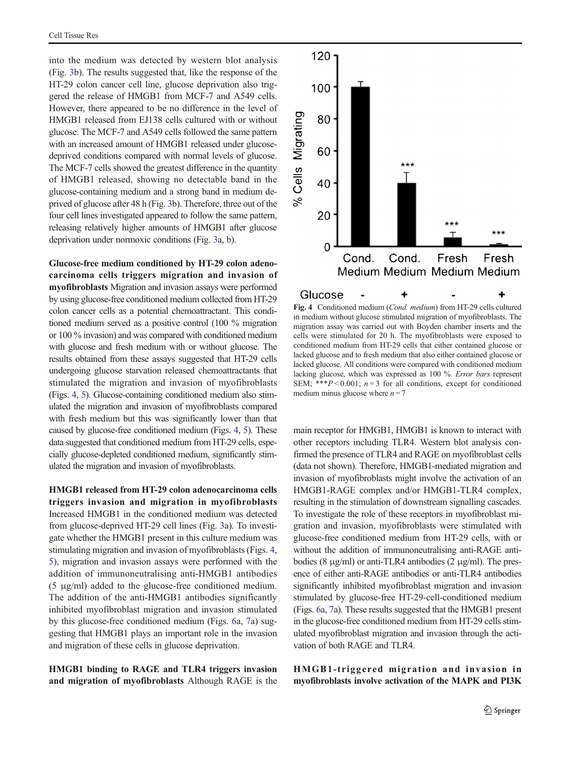into the medium was detected by western blot analysis (Fig. [3](#page-4-0)b). The results suggested that, like the response of the HT-29 colon cancer cell line, glucose deprivation also triggered the release of HMGB1 from MCF-7 and A549 cells. However, there appeared to be no difference in the level of HMGB1 released from EJ138 cells cultured with or without glucose. The MCF-7 and A549 cells followed the same pattern with an increased amount of HMGB1 released under glucosedeprived conditions compared with normal levels of glucose. The MCF-7 cells showed the greatest difference in the quantity of HMGB1 released, showing no detectable band in the glucose-containing medium and a strong band in medium deprived of glucose after 48 h (Fig. [3b](#page-4-0)). Therefore, three out of the four cell lines investigated appeared to follow the same pattern, releasing relatively higher amounts of HMGB1 after glucose deprivation under normoxic conditions (Fig. [3](#page-4-0)a, b).

Glucose-free medium conditioned by HT-29 colon adenocarcinoma cells triggers migration and invasion of myofibroblasts Migration and invasion assays were performed by using glucose-free conditioned medium collected from HT-29 colon cancer cells as a potential chemoattractant. This conditioned medium served as a positive control (100 % migration or 100 % invasion) and was compared with conditioned medium with glucose and fresh medium with or without glucose. The results obtained from these assays suggested that HT-29 cells undergoing glucose starvation released chemoattractants that stimulated the migration and invasion of myofibroblasts (Figs. 4, [5](#page-6-0)). Glucose-containing conditioned medium also stimulated the migration and invasion of myofibroblasts compared with fresh medium but this was significantly lower than that caused by glucose-free conditioned medium (Figs. 4, [5\)](#page-6-0). These data suggested that conditioned medium from HT-29 cells, especially glucose-depleted conditioned medium, significantly stimulated the migration and invasion of myofibroblasts.

HMGB1 released from HT-29 colon adenocarcinoma cells triggers invasion and migration in myofibroblasts Increased HMGB1 in the conditioned medium was detected from glucose-deprived HT-29 cell lines (Fig. [3](#page-4-0)a). To investigate whether the HMGB1 present in this culture medium was stimulating migration and invasion of myofibroblasts (Figs. 4, [5\)](#page-6-0), migration and invasion assays were performed with the addition of immunoneutralising anti-HMGB1 antibodies (5 μg/ml) added to the glucose-free conditioned medium. The addition of the anti-HMGB1 antibodies significantly inhibited myofibroblast migration and invasion stimulated by this glucose-free conditioned medium (Figs. [6a](#page-6-0), [7a](#page-7-0)) suggesting that HMGB1 plays an important role in the invasion and migration of these cells in glucose deprivation.

HMGB1 binding to RAGE and TLR4 triggers invasion and migration of myofibroblasts Although RAGE is the



Fig. 4 Conditioned medium (Cond. medium) from HT-29 cells cultured in medium without glucose stimulated migration of myofibroblasts. The migration assay was carried out with Boyden chamber inserts and the cells were stimulated for 20 h. The myofibroblasts were exposed to conditioned medium from HT-29 cells that either contained glucose or lacked glucose and to fresh medium that also either contained glucose or lacked glucose. All conditions were compared with conditioned medium lacking glucose, which was expressed as 100 %. Error bars represent SEM; \*\*\* $P < 0.001$ ;  $n = 3$  for all conditions, except for conditioned medium minus glucose where  $n = 7$ 

main receptor for HMGB1, HMGB1 is known to interact with other receptors including TLR4. Western blot analysis confirmed the presence of TLR4 and RAGE on myofibroblast cells (data not shown). Therefore, HMGB1-mediated migration and invasion of myofibroblasts might involve the activation of an HMGB1-RAGE complex and/or HMGB1-TLR4 complex, resulting in the stimulation of downstream signalling cascades. To investigate the role of these receptors in myofibroblast migration and invasion, myofibroblasts were stimulated with glucose-free conditioned medium from HT-29 cells, with or without the addition of immunoneutralising anti-RAGE antibodies (8  $\mu$ g/ml) or anti-TLR4 antibodies (2  $\mu$ g/ml). The presence of either anti-RAGE antibodies or anti-TLR4 antibodies significantly inhibited myofibroblast migration and invasion stimulated by glucose-free HT-29-cell-conditioned medium (Figs. [6a](#page-6-0), [7](#page-7-0)a). These results suggested that the HMGB1 present in the glucose-free conditioned medium from HT-29 cells stimulated myofibroblast migration and invasion through the activation of both RAGE and TLR4.

HMGB1-triggered migration and invasion in myofibroblasts involve activation of the MAPK and PI3K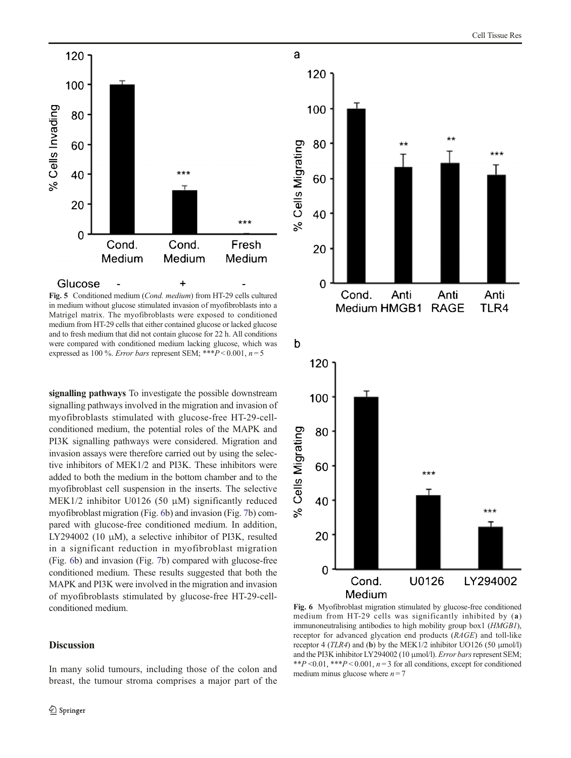<span id="page-6-0"></span>

a

Fig. 5 Conditioned medium (Cond. medium) from HT-29 cells cultured in medium without glucose stimulated invasion of myofibroblasts into a Matrigel matrix. The myofibroblasts were exposed to conditioned medium from HT-29 cells that either contained glucose or lacked glucose and to fresh medium that did not contain glucose for 22 h. All conditions were compared with conditioned medium lacking glucose, which was expressed as 100 %. Error bars represent SEM; \*\*\* $P < 0.001$ ,  $n = 5$ 

signalling pathways To investigate the possible downstream signalling pathways involved in the migration and invasion of myofibroblasts stimulated with glucose-free HT-29-cellconditioned medium, the potential roles of the MAPK and PI3K signalling pathways were considered. Migration and invasion assays were therefore carried out by using the selective inhibitors of MEK1/2 and PI3K. These inhibitors were added to both the medium in the bottom chamber and to the myofibroblast cell suspension in the inserts. The selective MEK1/2 inhibitor U0126 (50 μM) significantly reduced myofibroblast migration (Fig. 6b) and invasion (Fig. [7](#page-7-0)b) compared with glucose-free conditioned medium. In addition, LY294002 (10  $\mu$ M), a selective inhibitor of PI3K, resulted in a significant reduction in myofibroblast migration (Fig. 6b) and invasion (Fig. [7b](#page-7-0)) compared with glucose-free conditioned medium. These results suggested that both the MAPK and PI3K were involved in the migration and invasion of myofibroblasts stimulated by glucose-free HT-29-cellconditioned medium.

# Discussion

In many solid tumours, including those of the colon and breast, the tumour stroma comprises a major part of the



Fig. 6 Myofibroblast migration stimulated by glucose-free conditioned medium from HT-29 cells was significantly inhibited by (a) immunoneutralising antibodies to high mobility group box1 (HMGB1), receptor for advanced glycation end products (RAGE) and toll-like receptor 4 (TLR4) and (b) by the MEK1/2 inhibitor UO126 (50 μmol/l) and the PI3K inhibitor LY294002 (10 μmol/l). Error bars represent SEM; \*\*P < 0.01, \*\*\*P < 0.001,  $n = 3$  for all conditions, except for conditioned medium minus glucose where  $n = 7$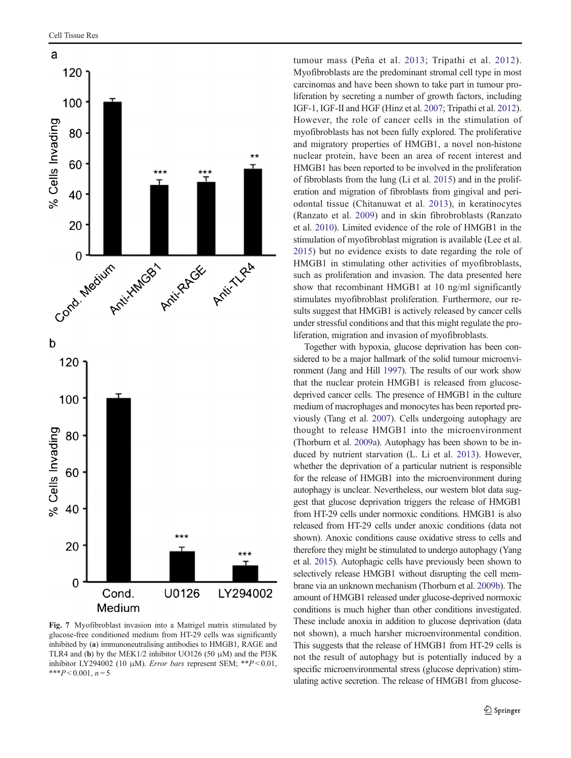<span id="page-7-0"></span>

Fig. 7 Myofibroblast invasion into a Matrigel matrix stimulated by glucose-free conditioned medium from HT-29 cells was significantly inhibited by (a) immunoneutralising antibodies to HMGB1, RAGE and TLR4 and (b) by the MEK1/2 inhibitor UO126 (50 μM) and the PI3K inhibitor LY294002 (10 μM). Error bars represent SEM; \*\* $P < 0.01$ , \*\*\* $P < 0.001, n = 5$ 

tumour mass (Peña et al. [2013;](#page-9-0) Tripathi et al. [2012](#page-9-0)). Myofibroblasts are the predominant stromal cell type in most carcinomas and have been shown to take part in tumour proliferation by secreting a number of growth factors, including IGF-1, IGF-II and HGF (Hinz et al. [2007;](#page-9-0) Tripathi et al. [2012\)](#page-9-0). However, the role of cancer cells in the stimulation of myofibroblasts has not been fully explored. The proliferative and migratory properties of HMGB1, a novel non-histone nuclear protein, have been an area of recent interest and HMGB1 has been reported to be involved in the proliferation of fibroblasts from the lung (Li et al. [2015](#page-9-0)) and in the proliferation and migration of fibroblasts from gingival and periodontal tissue (Chitanuwat et al. [2013](#page-8-0)), in keratinocytes (Ranzato et al. [2009\)](#page-9-0) and in skin fibrobroblasts (Ranzato et al. [2010](#page-9-0)). Limited evidence of the role of HMGB1 in the stimulation of myofibroblast migration is available (Lee et al. [2015](#page-9-0)) but no evidence exists to date regarding the role of HMGB1 in stimulating other activities of myofibroblasts, such as proliferation and invasion. The data presented here show that recombinant HMGB1 at 10 ng/ml significantly stimulates myofibroblast proliferation. Furthermore, our results suggest that HMGB1 is actively released by cancer cells under stressful conditions and that this might regulate the proliferation, migration and invasion of myofibroblasts.

Together with hypoxia, glucose deprivation has been considered to be a major hallmark of the solid tumour microenvironment (Jang and Hill [1997](#page-9-0)). The results of our work show that the nuclear protein HMGB1 is released from glucosedeprived cancer cells. The presence of HMGB1 in the culture medium of macrophages and monocytes has been reported previously (Tang et al. [2007\)](#page-9-0). Cells undergoing autophagy are thought to release HMGB1 into the microenvironment (Thorburn et al. [2009a](#page-9-0)). Autophagy has been shown to be induced by nutrient starvation (L. Li et al. [2013](#page-9-0)). However, whether the deprivation of a particular nutrient is responsible for the release of HMGB1 into the microenvironment during autophagy is unclear. Nevertheless, our western blot data suggest that glucose deprivation triggers the release of HMGB1 from HT-29 cells under normoxic conditions. HMGB1 is also released from HT-29 cells under anoxic conditions (data not shown). Anoxic conditions cause oxidative stress to cells and therefore they might be stimulated to undergo autophagy (Yang et al. [2015](#page-10-0)). Autophagic cells have previously been shown to selectively release HMGB1 without disrupting the cell membrane via an unknown mechanism (Thorburn et al. [2009b\)](#page-9-0). The amount of HMGB1 released under glucose-deprived normoxic conditions is much higher than other conditions investigated. These include anoxia in addition to glucose deprivation (data not shown), a much harsher microenvironmental condition. This suggests that the release of HMGB1 from HT-29 cells is not the result of autophagy but is potentially induced by a specific microenvironmental stress (glucose deprivation) stimulating active secretion. The release of HMGB1 from glucose-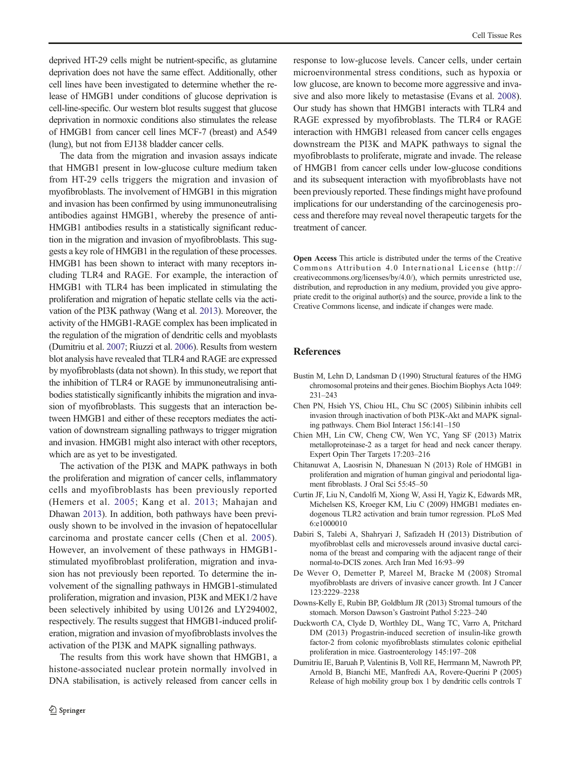<span id="page-8-0"></span>deprived HT-29 cells might be nutrient-specific, as glutamine deprivation does not have the same effect. Additionally, other cell lines have been investigated to determine whether the release of HMGB1 under conditions of glucose deprivation is cell-line-specific. Our western blot results suggest that glucose deprivation in normoxic conditions also stimulates the release of HMGB1 from cancer cell lines MCF-7 (breast) and A549 (lung), but not from EJ138 bladder cancer cells.

The data from the migration and invasion assays indicate that HMGB1 present in low-glucose culture medium taken from HT-29 cells triggers the migration and invasion of myofibroblasts. The involvement of HMGB1 in this migration and invasion has been confirmed by using immunoneutralising antibodies against HMGB1, whereby the presence of anti-HMGB1 antibodies results in a statistically significant reduction in the migration and invasion of myofibroblasts. This suggests a key role of HMGB1 in the regulation of these processes. HMGB1 has been shown to interact with many receptors including TLR4 and RAGE. For example, the interaction of HMGB1 with TLR4 has been implicated in stimulating the proliferation and migration of hepatic stellate cells via the activation of the PI3K pathway (Wang et al. [2013](#page-9-0)). Moreover, the activity of the HMGB1-RAGE complex has been implicated in the regulation of the migration of dendritic cells and myoblasts (Dumitriu et al. [2007](#page-9-0); Riuzzi et al. [2006](#page-9-0)). Results from western blot analysis have revealed that TLR4 and RAGE are expressed by myofibroblasts (data not shown). In this study, we report that the inhibition of TLR4 or RAGE by immunoneutralising antibodies statistically significantly inhibits the migration and invasion of myofibroblasts. This suggests that an interaction between HMGB1 and either of these receptors mediates the activation of downstream signalling pathways to trigger migration and invasion. HMGB1 might also interact with other receptors, which are as yet to be investigated.

The activation of the PI3K and MAPK pathways in both the proliferation and migration of cancer cells, inflammatory cells and myofibroblasts has been previously reported (Hemers et al. [2005](#page-9-0); Kang et al. [2013;](#page-9-0) Mahajan and Dhawan [2013](#page-9-0)). In addition, both pathways have been previously shown to be involved in the invasion of hepatocellular carcinoma and prostate cancer cells (Chen et al. 2005). However, an involvement of these pathways in HMGB1 stimulated myofibroblast proliferation, migration and invasion has not previously been reported. To determine the involvement of the signalling pathways in HMGB1-stimulated proliferation, migration and invasion, PI3K and MEK1/2 have been selectively inhibited by using U0126 and LY294002, respectively. The results suggest that HMGB1-induced proliferation, migration and invasion of myofibroblasts involves the activation of the PI3K and MAPK signalling pathways.

The results from this work have shown that HMGB1, a histone-associated nuclear protein normally involved in DNA stabilisation, is actively released from cancer cells in

response to low-glucose levels. Cancer cells, under certain microenvironmental stress conditions, such as hypoxia or low glucose, are known to become more aggressive and invasive and also more likely to metastasise (Evans et al. [2008\)](#page-9-0). Our study has shown that HMGB1 interacts with TLR4 and RAGE expressed by myofibroblasts. The TLR4 or RAGE interaction with HMGB1 released from cancer cells engages downstream the PI3K and MAPK pathways to signal the myofibroblasts to proliferate, migrate and invade. The release of HMGB1 from cancer cells under low-glucose conditions and its subsequent interaction with myofibroblasts have not been previously reported. These findings might have profound implications for our understanding of the carcinogenesis process and therefore may reveal novel therapeutic targets for the treatment of cancer.

Open Access This article is distributed under the terms of the Creative Commons Attribution 4.0 International License (http:// creativecommons.org/licenses/by/4.0/), which permits unrestricted use, distribution, and reproduction in any medium, provided you give appropriate credit to the original author(s) and the source, provide a link to the Creative Commons license, and indicate if changes were made.

## References

- Bustin M, Lehn D, Landsman D (1990) Structural features of the HMG chromosomal proteins and their genes. Biochim Biophys Acta 1049: 231–243
- Chen PN, Hsieh YS, Chiou HL, Chu SC (2005) Silibinin inhibits cell invasion through inactivation of both PI3K-Akt and MAPK signaling pathways. Chem Biol Interact 156:141–150
- Chien MH, Lin CW, Cheng CW, Wen YC, Yang SF (2013) Matrix metalloproteinase-2 as a target for head and neck cancer therapy. Expert Opin Ther Targets 17:203–216
- Chitanuwat A, Laosrisin N, Dhanesuan N (2013) Role of HMGB1 in proliferation and migration of human gingival and periodontal ligament fibroblasts. J Oral Sci 55:45–50
- Curtin JF, Liu N, Candolfi M, Xiong W, Assi H, Yagiz K, Edwards MR, Michelsen KS, Kroeger KM, Liu C (2009) HMGB1 mediates endogenous TLR2 activation and brain tumor regression. PLoS Med 6:e1000010
- Dabiri S, Talebi A, Shahryari J, Safizadeh H (2013) Distribution of myofibroblast cells and microvessels around invasive ductal carcinoma of the breast and comparing with the adjacent range of their normal-to-DCIS zones. Arch Iran Med 16:93–99
- De Wever O, Demetter P, Mareel M, Bracke M (2008) Stromal myofibroblasts are drivers of invasive cancer growth. Int J Cancer 123:2229–2238
- Downs-Kelly E, Rubin BP, Goldblum JR (2013) Stromal tumours of the stomach. Morson Dawson's Gastroint Pathol 5:223–240
- Duckworth CA, Clyde D, Worthley DL, Wang TC, Varro A, Pritchard DM (2013) Progastrin-induced secretion of insulin-like growth factor-2 from colonic myofibroblasts stimulates colonic epithelial proliferation in mice. Gastroenterology 145:197–208
- Dumitriu IE, Baruah P, Valentinis B, Voll RE, Herrmann M, Nawroth PP, Arnold B, Bianchi ME, Manfredi AA, Rovere-Querini P (2005) Release of high mobility group box 1 by dendritic cells controls T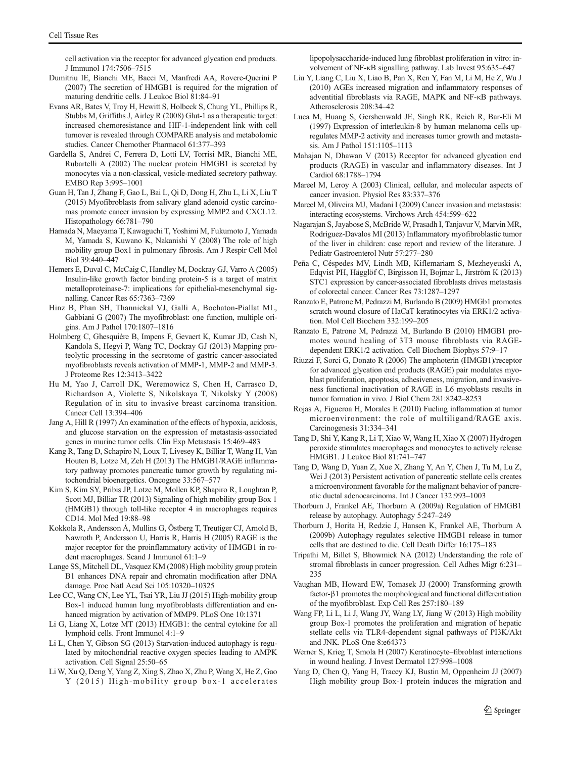<span id="page-9-0"></span>cell activation via the receptor for advanced glycation end products. J Immunol 174:7506–7515

- Dumitriu IE, Bianchi ME, Bacci M, Manfredi AA, Rovere-Querini P (2007) The secretion of HMGB1 is required for the migration of maturing dendritic cells. J Leukoc Biol 81:84–91
- Evans AR, Bates V, Troy H, Hewitt S, Holbeck S, Chung YL, Phillips R, Stubbs M, Griffiths J, Airley R (2008) Glut-1 as a therapeutic target: increased chemoresistance and HIF-1-independent link with cell turnover is revealed through COMPARE analysis and metabolomic studies. Cancer Chemother Pharmacol 61:377–393
- Gardella S, Andrei C, Ferrera D, Lotti LV, Torrisi MR, Bianchi ME, Rubartelli A (2002) The nuclear protein HMGB1 is secreted by monocytes via a non-classical, vesicle-mediated secretory pathway. EMBO Rep 3:995–1001
- Guan H, Tan J, Zhang F, Gao L, Bai L, Qi D, Dong H, Zhu L, Li X, Liu T (2015) Myofibroblasts from salivary gland adenoid cystic carcinomas promote cancer invasion by expressing MMP2 and CXCL12. Histopathology 66:781–790
- Hamada N, Maeyama T, Kawaguchi T, Yoshimi M, Fukumoto J, Yamada M, Yamada S, Kuwano K, Nakanishi Y (2008) The role of high mobility group Box1 in pulmonary fibrosis. Am J Respir Cell Mol Biol 39:440–447
- Hemers E, Duval C, McCaig C, Handley M, Dockray GJ, Varro A (2005) Insulin-like growth factor binding protein-5 is a target of matrix metalloproteinase-7: implications for epithelial-mesenchymal signalling. Cancer Res 65:7363–7369
- Hinz B, Phan SH, Thannickal VJ, Galli A, Bochaton-Piallat ML, Gabbiani G (2007) The myofibroblast: one function, multiple origins. Am J Pathol 170:1807–1816
- Holmberg C, Ghesquière B, Impens F, Gevaert K, Kumar JD, Cash N, Kandola S, Hegyi P, Wang TC, Dockray GJ (2013) Mapping proteolytic processing in the secretome of gastric cancer-associated myofibroblasts reveals activation of MMP-1, MMP-2 and MMP-3. J Proteome Res 12:3413–3422
- Hu M, Yao J, Carroll DK, Weremowicz S, Chen H, Carrasco D, Richardson A, Violette S, Nikolskaya T, Nikolsky Y (2008) Regulation of in situ to invasive breast carcinoma transition. Cancer Cell 13:394–406
- Jang A, Hill R (1997) An examination of the effects of hypoxia, acidosis, and glucose starvation on the expression of metastasis-associated genes in murine tumor cells. Clin Exp Metastasis 15:469–483
- Kang R, Tang D, Schapiro N, Loux T, Livesey K, Billiar T, Wang H, Van Houten B, Lotze M, Zeh H (2013) The HMGB1/RAGE inflammatory pathway promotes pancreatic tumor growth by regulating mitochondrial bioenergetics. Oncogene 33:567–577
- Kim S, Kim SY, Pribis JP, Lotze M, Mollen KP, Shapiro R, Loughran P, Scott MJ, Billiar TR (2013) Signaling of high mobility group Box 1 (HMGB1) through toll-like receptor 4 in macrophages requires CD14. Mol Med 19:88–98
- Kokkola R, Andersson Å, Mullins G, Östberg T, Treutiger CJ, Arnold B, Nawroth P, Andersson U, Harris R, Harris H (2005) RAGE is the major receptor for the proinflammatory activity of HMGB1 in rodent macrophages. Scand J Immunol 61:1–9
- Lange SS, Mitchell DL, Vasquez KM (2008) High mobility group protein B1 enhances DNA repair and chromatin modification after DNA damage. Proc Natl Acad Sci 105:10320–10325
- Lee CC, Wang CN, Lee YL, Tsai YR, Liu JJ (2015) High-mobility group Box-1 induced human lung myofibroblasts differentiation and enhanced migration by activation of MMP9. PLoS One 10:1371
- Li G, Liang X, Lotze MT (2013) HMGB1: the central cytokine for all lymphoid cells. Front Immunol 4:1–9
- Li L, Chen Y, Gibson SG (2013) Starvation-induced autophagy is regulated by mitochondrial reactive oxygen species leading to AMPK activation. Cell Signal 25:50–65
- Li W, Xu Q, Deng Y, Yang Z, Xing S, Zhao X, Zhu P, Wang X, He Z, Gao Y (2015) High-mobility group box-1 accelerates

lipopolysaccharide-induced lung fibroblast proliferation in vitro: involvement of NF-κB signalling pathway. Lab Invest 95:635–647

- Liu Y, Liang C, Liu X, Liao B, Pan X, Ren Y, Fan M, Li M, He Z, Wu J (2010) AGEs increased migration and inflammatory responses of adventitial fibroblasts via RAGE, MAPK and NF-κB pathways. Atherosclerosis 208:34–42
- Luca M, Huang S, Gershenwald JE, Singh RK, Reich R, Bar-Eli M (1997) Expression of interleukin-8 by human melanoma cells upregulates MMP-2 activity and increases tumor growth and metastasis. Am J Pathol 151:1105–1113
- Mahajan N, Dhawan V (2013) Receptor for advanced glycation end products (RAGE) in vascular and inflammatory diseases. Int J Cardiol 68:1788–1794
- Mareel M, Leroy A (2003) Clinical, cellular, and molecular aspects of cancer invasion. Physiol Res 83:337–376
- Mareel M, Oliveira MJ, Madani I (2009) Cancer invasion and metastasis: interacting ecosystems. Virchows Arch 454:599–622
- Nagarajan S, Jayabose S, McBride W, Prasadh I, Tanjavur V, Marvin MR, Rodriguez-Davalos MI (2013) Inflammatory myofibroblastic tumor of the liver in children: case report and review of the literature. J Pediatr Gastroenterol Nutr 57:277–280
- Peña C, Céspedes MV, Lindh MB, Kiflemariam S, Mezheyeuski A, Edqvist PH, Hägglöf C, Birgisson H, Bojmar L, Jirström K (2013) STC1 expression by cancer-associated fibroblasts drives metastasis of colorectal cancer. Cancer Res 73:1287–1297
- Ranzato E, Patrone M, Pedrazzi M, Burlando B (2009) HMGb1 promotes scratch wound closure of HaCaT keratinocytes via ERK1/2 activation. Mol Cell Biochem 332:199–205
- Ranzato E, Patrone M, Pedrazzi M, Burlando B (2010) HMGB1 promotes wound healing of 3T3 mouse fibroblasts via RAGEdependent ERK1/2 activation. Cell Biochem Biophys 57:9–17
- Riuzzi F, Sorci G, Donato R (2006) The amphoterin (HMGB1)/receptor for advanced glycation end products (RAGE) pair modulates myoblast proliferation, apoptosis, adhesiveness, migration, and invasiveness functional inactivation of RAGE in L6 myoblasts results in tumor formation in vivo. J Biol Chem 281:8242–8253
- Rojas A, Figueroa H, Morales E (2010) Fueling inflammation at tumor microenvironment: the role of multiligand/RAGE axis. Carcinogenesis 31:334–341
- Tang D, Shi Y, Kang R, Li T, Xiao W, Wang H, Xiao X (2007) Hydrogen peroxide stimulates macrophages and monocytes to actively release HMGB1. J Leukoc Biol 81:741–747
- Tang D, Wang D, Yuan Z, Xue X, Zhang Y, An Y, Chen J, Tu M, Lu Z, Wei J (2013) Persistent activation of pancreatic stellate cells creates a microenvironment favorable for the malignant behavior of pancreatic ductal adenocarcinoma. Int J Cancer 132:993–1003
- Thorburn J, Frankel AE, Thorburn A (2009a) Regulation of HMGB1 release by autophagy. Autophagy 5:247–249
- Thorburn J, Horita H, Redzic J, Hansen K, Frankel AE, Thorburn A (2009b) Autophagy regulates selective HMGB1 release in tumor cells that are destined to die. Cell Death Differ 16:175–183
- Tripathi M, Billet S, Bhowmick NA (2012) Understanding the role of stromal fibroblasts in cancer progression. Cell Adhes Migr 6:231– 235
- Vaughan MB, Howard EW, Tomasek JJ (2000) Transforming growth factor-β1 promotes the morphological and functional differentiation of the myofibroblast. Exp Cell Res 257:180–189
- Wang FP, Li L, Li J, Wang JY, Wang LY, Jiang W (2013) High mobility group Box-1 promotes the proliferation and migration of hepatic stellate cells via TLR4-dependent signal pathways of PI3K/Akt and JNK. PLoS One 8:e64373
- Werner S, Krieg T, Smola H (2007) Keratinocyte–fibroblast interactions in wound healing. J Invest Dermatol 127:998–1008
- Yang D, Chen Q, Yang H, Tracey KJ, Bustin M, Oppenheim JJ (2007) High mobility group Box-1 protein induces the migration and